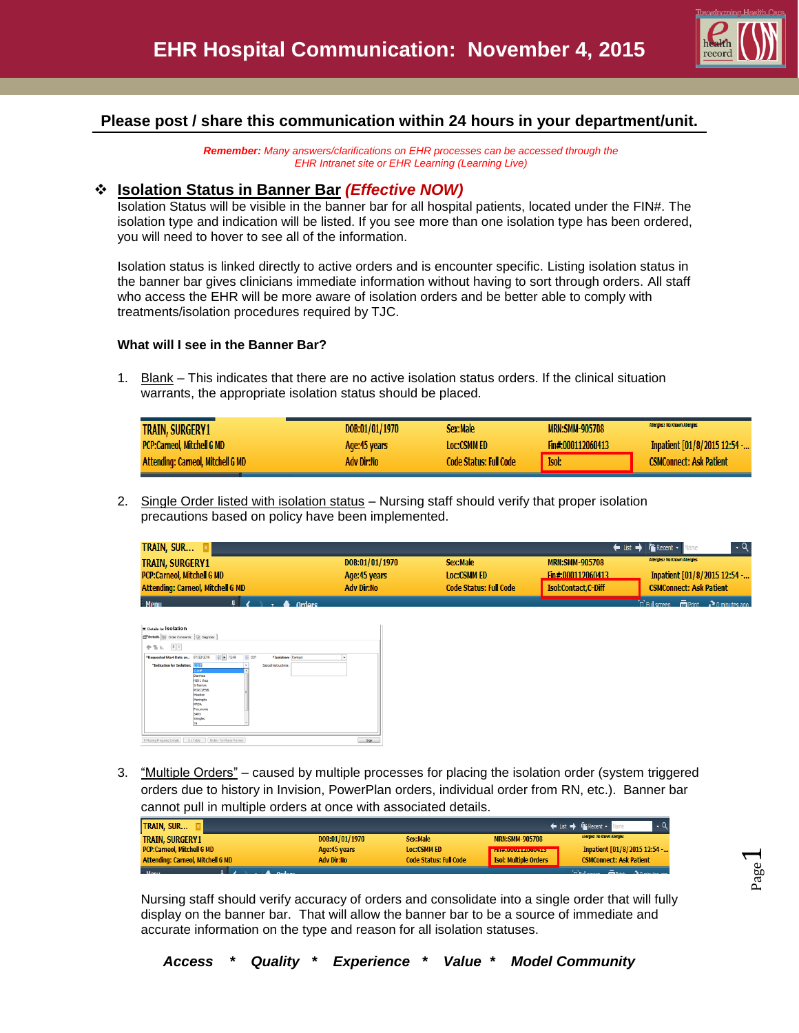

Page  $\overline{\phantom{0}}$ 

# **Please post / share this communication within 24 hours in your department/unit.**

*Remember: Many answers/clarifications on EHR processes can be accessed through the EHR Intranet site or EHR Learning (Learning Live)*

#### **Isolation Status in Banner Bar** *(Effective NOW)*

Isolation Status will be visible in the banner bar for all hospital patients, located under the FIN#. The isolation type and indication will be listed. If you see more than one isolation type has been ordered, you will need to hover to see all of the information.

Isolation status is linked directly to active orders and is encounter specific. Listing isolation status in the banner bar gives clinicians immediate information without having to sort through orders. All staff who access the EHR will be more aware of isolation orders and be better able to comply with treatments/isolation procedures required by TJC.

#### **What will I see in the Banner Bar?**

1. Blank – This indicates that there are no active isolation status orders. If the clinical situation warrants, the appropriate isolation status should be placed.

| <b>TRAIN, SURGERY1</b>                   | DOB:01/01/1970 | Sex:Male                      | <b>MRN:SMM-905708</b> | Allergies: No Known Allergies  |
|------------------------------------------|----------------|-------------------------------|-----------------------|--------------------------------|
| <b>PCP:Carneol, Mitchell G MD</b>        | Age:45 years   | <b>Loc:CSMM ED</b>            | Fin#:000112060413     | Inpatient [01/8/2015 12:54 -   |
| <b>Attending: Carneol, Mitchell G MD</b> | Adv Dir:No     | <b>Code Status: Full Code</b> | Isol:                 | <b>CSMConnect: Ask Patient</b> |

2. Single Order listed with isolation status – Nursing staff should verify that proper isolation precautions based on policy have been implemented.

| TRAIN, SUR                               |                   |                        |                            | $\leftarrow$ List $\rightarrow$ $\left \mathbf{F}\right $ Recent $\sim$ |
|------------------------------------------|-------------------|------------------------|----------------------------|-------------------------------------------------------------------------|
| <b>TRAIN, SURGERY1</b>                   | DOB:01/01/1970    | Sex:Male               | <b>MRN:SMM-905708</b>      | <b>Allergies: No Known Allergies</b>                                    |
| <b>PCP:Carneol. Mitchell G MD</b>        | Age: 45 years     | <b>Loc:CSMM ED</b>     | Fin#:000112060413          | Inpatient [01/8/2015 12:54 -                                            |
| <b>Attending: Carneol, Mitchell G MD</b> | <b>Adv Dir:No</b> | Code Status: Full Code | <b>Isol:Contact.C-Diff</b> | <b>CSMConnect: Ask Patient</b>                                          |
| <b>Manu</b><br><b>Ordore</b>             |                   |                        |                            | <b>CLE Lerreen</b><br>Drint Minimutes ann                               |

| Details (11) Order Comments   Diagnosis |                           |       |                       |   |
|-----------------------------------------|---------------------------|-------|-----------------------|---|
| 中性症 国际                                  |                           |       |                       |   |
| *Requested Start Date an 07/22/2015     | $\frac{1}{2}$ = 1249      | e con | "Isolation: Contact   | v |
| *Indication for Isolation: END          |                           | v     | Special instructions: |   |
|                                         | coff                      | ٠     |                       |   |
|                                         | Diambea<br>HIN1 Virus     |       |                       |   |
|                                         | Influenza                 |       |                       |   |
|                                         | MDRO/ESBL                 |       |                       |   |
|                                         | Meades                    |       |                       |   |
|                                         | Meningitis                |       |                       |   |
|                                         | MRSA                      |       |                       |   |
|                                         | Provumonia<br><b>SARS</b> |       |                       |   |
|                                         | Shingles                  |       |                       |   |
|                                         | 18                        |       |                       |   |
|                                         |                           |       |                       |   |

3. "Multiple Orders" – caused by multiple processes for placing the isolation order (system triggered orders due to history in Invision, PowerPlan orders, individual order from RN, etc.). Banner bar cannot pull in multiple orders at once with associated details.

| <b>TRAIN, SUR</b>                        |                   |                               |                                        | ← List → Firecent -            |
|------------------------------------------|-------------------|-------------------------------|----------------------------------------|--------------------------------|
| <b>TRAIN, SURGERY1</b>                   | DOB:01/01/1970    | Sex:Male                      | <b>MRN:SMM-905708</b>                  | Allergies: No Known Allergies  |
| <b>PCP:Carneol, Mitchell G MD</b>        | Age:45 years      | <b>Loc:CSMM ED</b>            | <b>BELLUM MANAGEMENT AND RESIDENCE</b> | Inpatient [01/8/2015 12:54 -   |
| <b>Attending: Carneol, Mitchell G MD</b> | <b>Adv Dir:No</b> | <b>Code Status: Full Code</b> | <b>Isol: Multiple Orders</b>           | <b>CSMConnect: Ask Patient</b> |
| in a communication of the                |                   |                               |                                        | ب سائستا                       |

Nursing staff should verify accuracy of orders and consolidate into a single order that will fully display on the banner bar. That will allow the banner bar to be a source of immediate and accurate information on the type and reason for all isolation statuses.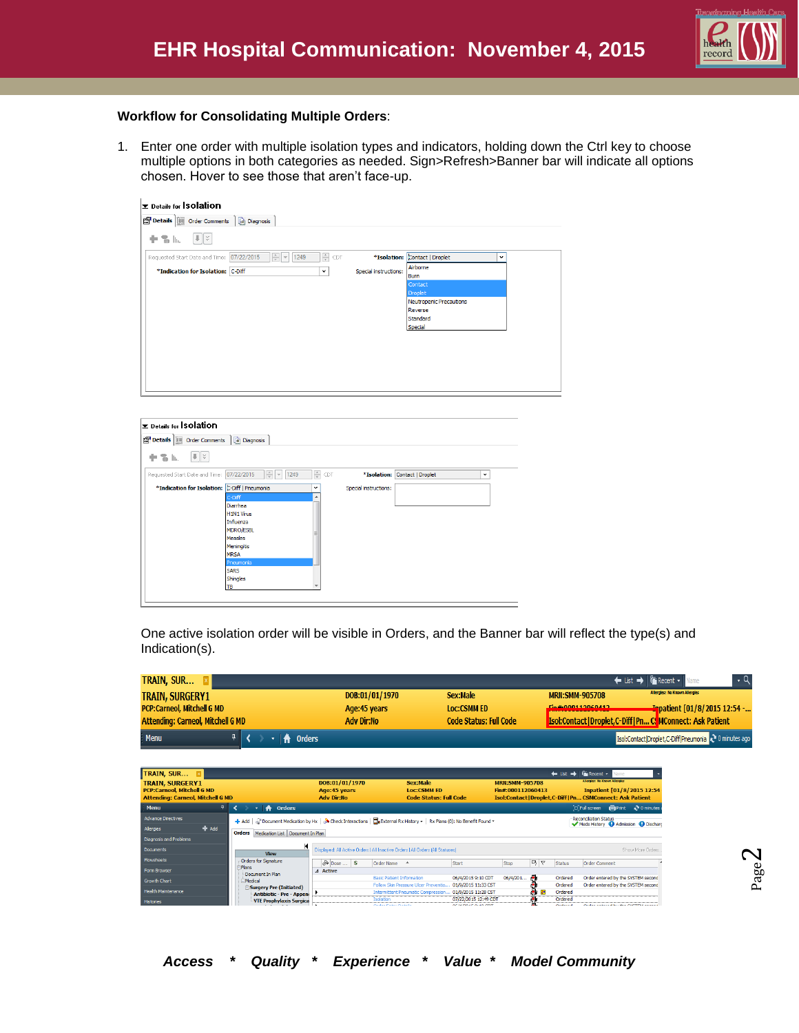

#### **Workflow for Consolidating Multiple Orders**:

1. Enter one order with multiple isolation types and indicators, holding down the Ctrl key to choose multiple options in both categories as needed. Sign>Refresh>Banner bar will indicate all options chosen. Hover to see those that aren't face-up.

| <b>E</b> Details for <b>Solation</b>                                                                                           |                                               |  |
|--------------------------------------------------------------------------------------------------------------------------------|-----------------------------------------------|--|
| Details   Order Comments   a Diagnosis                                                                                         |                                               |  |
| $   \cdot   $<br>十名瓜                                                                                                           |                                               |  |
| $\frac{\Delta}{\Psi}$<br>$\frac{1}{\sqrt{2}}$ $\frac{1}{\sqrt{2}}$<br>Requested Start Date and Time: 07/22/2015<br>1249<br>CDT | *Isolation: Contact   Droplet<br>$\checkmark$ |  |
| *Indication for Isolation: C-Diff<br>$\check{~}$                                                                               | Airborne<br>Special instructions:<br>Burn     |  |
|                                                                                                                                | Contact<br>Droplet                            |  |
|                                                                                                                                | Neutropenic Precautions                       |  |
|                                                                                                                                | Reverse<br>Standard                           |  |
|                                                                                                                                | Special                                       |  |
|                                                                                                                                |                                               |  |
|                                                                                                                                |                                               |  |
|                                                                                                                                |                                               |  |
|                                                                                                                                |                                               |  |
|                                                                                                                                |                                               |  |

| Details for Solation<br>Details   Order Comments   @ Diagnosis |                                         |               |                       |                               |              |
|----------------------------------------------------------------|-----------------------------------------|---------------|-----------------------|-------------------------------|--------------|
| $  \cdot   \times$<br>十名瓜                                      |                                         |               |                       |                               |              |
| Requested Start Date and Time: 07/22/2015                      | $\frac{1}{x}$<br>1249<br>$\vert \nabla$ | $\frac{1}{x}$ | CDT                   | *Isolation: Contact   Droplet | $\checkmark$ |
| *Indication for Isolation: C-Diff   Pneumonia                  |                                         | $\checkmark$  | Special instructions: |                               |              |
|                                                                | C-Diff                                  | ▲             |                       |                               |              |
|                                                                | Diarrhea                                |               |                       |                               |              |
|                                                                | <b>H1N1 Virus</b>                       |               |                       |                               |              |
|                                                                | Influenza                               |               |                       |                               |              |
|                                                                | <b>MDRO/ESBL</b>                        |               |                       |                               |              |
|                                                                | <b>Measles</b><br>Meningitis            |               |                       |                               |              |
|                                                                | <b>MRSA</b>                             |               |                       |                               |              |
|                                                                | Pneumonia                               |               |                       |                               |              |
|                                                                | <b>SARS</b>                             |               |                       |                               |              |
|                                                                | Shingles                                |               |                       |                               |              |
|                                                                | TB                                      | ۰             |                       |                               |              |

One active isolation order will be visible in Orders, and the Banner bar will reflect the type(s) and Indication(s).

| TRAIN, SUR                               |                   |                               | ← List → <del>Fix</del> Recent v                                    |
|------------------------------------------|-------------------|-------------------------------|---------------------------------------------------------------------|
| <b>TRAIN, SURGERY1</b>                   | DOB:01/01/1970    | Sex:Male                      | <b>Allergies: No Known Allergies</b><br><b>MRN:SMM-905708</b>       |
| <b>PCP:Carneol, Mitchell G MD</b>        | Age:45 years      | <b>Loc:CSMM ED</b>            | Ein#-000112060412<br><b>Inpatient [01/8/2015 12:54 -</b>            |
| <b>Attending: Carneol, Mitchell G MD</b> | <b>Adv Dir:No</b> | <b>Code Status: Full Code</b> | <b>Isol:Contact   Droplet, C-Diff   Pn C. MConnect: Ask Patient</b> |
| Menu<br><b>A</b> Orders                  |                   |                               | Isol:Contact Droplet,C-Diff Pneumonia 2 0 minutes ago               |

| TRAIN, SUR E                                                |                                                                                                                                                                                                                          |                                 |                                           |                                                                                 |                                                        |                                            |        | $\leftarrow$ List $\rightarrow$ | <b>Execent</b> -<br><b>Allergies: No Known Allergies</b> | Name                                                       |
|-------------------------------------------------------------|--------------------------------------------------------------------------------------------------------------------------------------------------------------------------------------------------------------------------|---------------------------------|-------------------------------------------|---------------------------------------------------------------------------------|--------------------------------------------------------|--------------------------------------------|--------|---------------------------------|----------------------------------------------------------|------------------------------------------------------------|
| <b>TRAIN, SURGERY1</b><br><b>PCP:Carneol. Mitchell G MD</b> |                                                                                                                                                                                                                          | DOB:01/01/1970<br>Age: 45 years |                                           | Sex:Male<br><b>Loc:CSMM ED</b>                                                  |                                                        | <b>MRN:SMM-905708</b><br>Fin#:000112060413 |        |                                 |                                                          | Inpatient [01/8/2015 12:54                                 |
| <b>Attending: Carneol, Mitchell G MD</b>                    |                                                                                                                                                                                                                          | <b>Adv Dir:No</b>               |                                           | <b>Code Status: Full Code</b>                                                   |                                                        |                                            |        |                                 |                                                          | Isol:Contact   Droplet,C-Diff   Pn CSMConnect: Ask Patient |
| Menu                                                        | <b>Orders</b><br>₩                                                                                                                                                                                                       |                                 |                                           |                                                                                 |                                                        |                                            |        |                                 | <b>D.Ful screen m</b> Print                              | $\geq 0$ minutes                                           |
| <b>Advance Directives</b>                                   | $\frac{1}{2}$ Add $\int_{\mathbb{R}}^{\infty}$ Document Medication by Hx $\int_{\mathbb{R}} \mathbf{S}^*$ Check Interactions $\prod_{n=1}^{\infty}$ External Rx History $\star$   Rx Plans (0): No Benefit Found $\star$ |                                 |                                           |                                                                                 |                                                        |                                            |        |                                 | <b>Reconciliation Status</b>                             | Meds History <b>@</b> Admission @ Dischard                 |
| $#$ Add<br>Allergies                                        | Orders Medication List Document In Plan                                                                                                                                                                                  |                                 |                                           |                                                                                 |                                                        |                                            |        |                                 |                                                          |                                                            |
| Diagnosis and Problems                                      |                                                                                                                                                                                                                          |                                 |                                           |                                                                                 |                                                        |                                            |        |                                 |                                                          |                                                            |
| <b>Documents</b>                                            | к<br><b>View</b>                                                                                                                                                                                                         |                                 |                                           | Displayed: All Active Orders   All Inactive Orders   All Orders   All Statuses] |                                                        |                                            |        |                                 |                                                          | Show More Orders                                           |
| Flowsheets                                                  | Orders for Signature                                                                                                                                                                                                     | $\infty$ Dose  \$               | Order Name 4                              |                                                                                 | Start                                                  | Stop                                       | 马卜     | Status                          | <b>Order Comment</b>                                     |                                                            |
| Form Browser                                                | -Plans<br>Document In Plan                                                                                                                                                                                               | 4 Active                        |                                           |                                                                                 |                                                        |                                            |        |                                 |                                                          |                                                            |
| <b>Growth Chart</b>                                         | <b>E</b> Medical                                                                                                                                                                                                         |                                 | <b>Basic Patient Information</b>          |                                                                                 | 06/4/2015 9:10 CDT                                     | 06/4/201                                   | æ.     | Ordered                         |                                                          | Order entered by the SYSTEM second                         |
| <b>Health Maintenance</b>                                   | Surgery Pre (Initiated)                                                                                                                                                                                                  |                                 |                                           | Follow Skin Pressure Ulcer Preventio.                                           | 01/9/2015 11:33 CST                                    |                                            |        | Ordered                         |                                                          | Order entered by the SYSTEM second                         |
|                                                             | <b>Antibiotic - Pre - Append</b>                                                                                                                                                                                         |                                 |                                           |                                                                                 | Intermittent Pneumatic Compression 01/9/2015 11:28 CST |                                            | ÷<br>æ | Ordered                         |                                                          |                                                            |
| <b>Histories</b>                                            | <b>VTE Prophylaxis Surgica</b>                                                                                                                                                                                           |                                 | <b>Isolation</b><br>Order Patrick Details |                                                                                 | 07/22/2015 12:49 CDT<br>or laton in our one            |                                            | Æ      | Ordered<br>المستوات والمنابين   |                                                          | Order cases of builder overrest council                    |

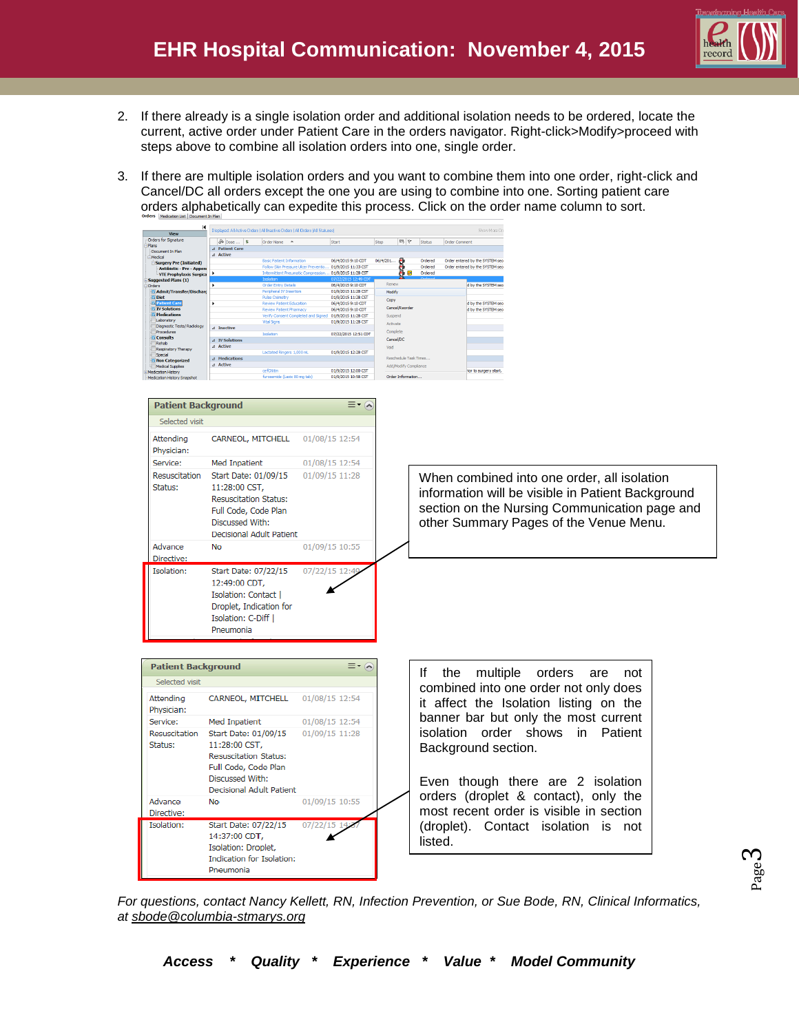

- 2. If there already is a single isolation order and additional isolation needs to be ordered, locate the current, active order under Patient Care in the orders navigator. Right-click>Modify>proceed with steps above to combine all isolation orders into one, single order.
- 3. If there are multiple isolation orders and you want to combine them into one order, right-click and Cancel/DC all orders except the one you are using to combine into one. Sorting patient care orders alphabetically can expedite this process. Click on the order name column to sort.



*For questions, contact Nancy Kellett, RN, Infection Prevention, or Sue Bode, RN, Clinical Informatics, at [sbode@columbia-stmarys.org](mailto:sbode@columbia-stmarys.org)*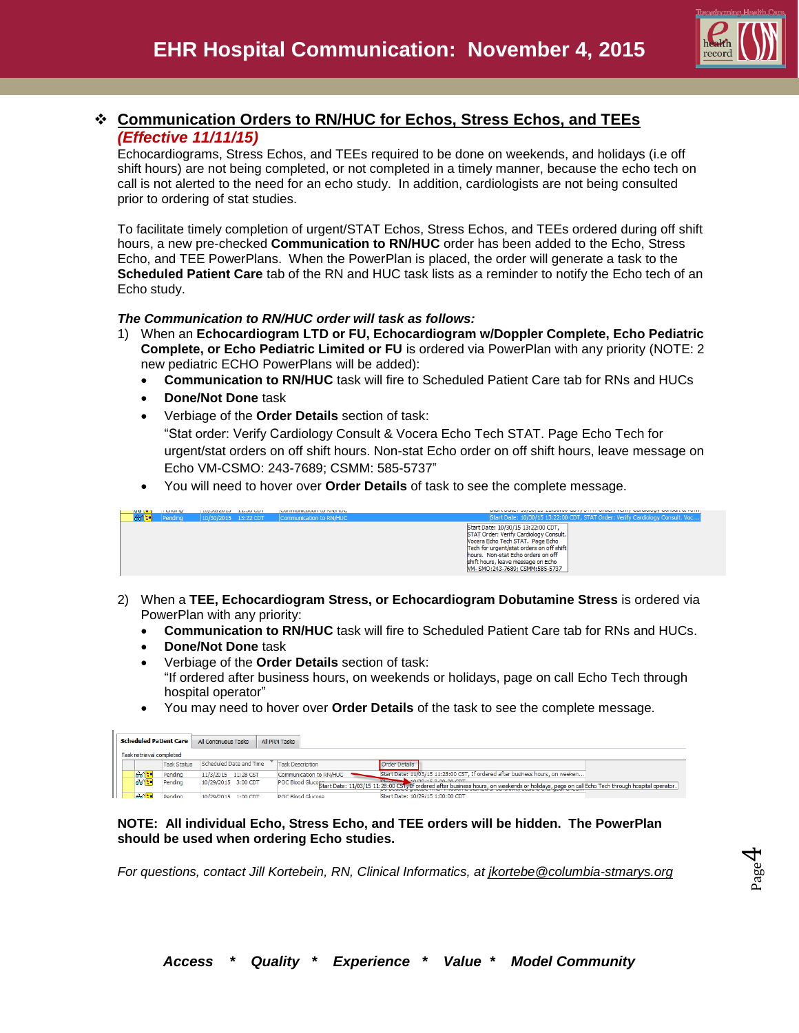

## **Communication Orders to RN/HUC for Echos, Stress Echos, and TEEs** *(Effective 11/11/15)*

Echocardiograms, Stress Echos, and TEEs required to be done on weekends, and holidays (i.e off shift hours) are not being completed, or not completed in a timely manner, because the echo tech on call is not alerted to the need for an echo study. In addition, cardiologists are not being consulted prior to ordering of stat studies.

To facilitate timely completion of urgent/STAT Echos, Stress Echos, and TEEs ordered during off shift hours, a new pre-checked **Communication to RN/HUC** order has been added to the Echo, Stress Echo, and TEE PowerPlans. When the PowerPlan is placed, the order will generate a task to the **Scheduled Patient Care** tab of the RN and HUC task lists as a reminder to notify the Echo tech of an Echo study.

#### *The Communication to RN/HUC order will task as follows:*

- 1) When an **Echocardiogram LTD or FU, Echocardiogram w/Doppler Complete, Echo Pediatric Complete, or Echo Pediatric Limited or FU** is ordered via PowerPlan with any priority (NOTE: 2 new pediatric ECHO PowerPlans will be added):
	- **Communication to RN/HUC** task will fire to Scheduled Patient Care tab for RNs and HUCs
	- **Done/Not Done** task
	- Verbiage of the **Order Details** section of task: "Stat order: Verify Cardiology Consult & Vocera Echo Tech STAT. Page Echo Tech for urgent/stat orders on off shift hours. Non-stat Echo order on off shift hours, leave message on Echo VM-CSMO: 243-7689; CSMM: 585-5737"
	- You will need to hover over **Order Details** of task to see the complete message.

| <b>TOU DE J</b> | <b>TELEVISION</b> | <b>ENTIRE LOTER SERVICES</b> | Communication in the party for a |                                                                                                                                                                                                                                                                             |
|-----------------|-------------------|------------------------------|----------------------------------|-----------------------------------------------------------------------------------------------------------------------------------------------------------------------------------------------------------------------------------------------------------------------------|
| aana :          | Pending           | $10/30/2015$ 13:22 CDT       | Communication to RN/HUC          | Start Date: 10/30/15 13:22:00 CDT, STAT Order: Verify Cardiology Consult                                                                                                                                                                                                    |
|                 |                   |                              |                                  | Start Date: 10/30/15 13:22:00 CDT,<br>STAT Order: Verify Cardiology Consult.<br>Nocera Echo Tech STAT, Page Echo<br>Tech for urgent/stat orders on off shift<br>hours. Non-stat Echo orders on off<br>shift hours, leave message on Echo<br>M-SMO: 243-7689; CSMM: 585-5737 |

- 2) When a **TEE, Echocardiogram Stress, or Echocardiogram Dobutamine Stress** is ordered via PowerPlan with any priority:
	- **Communication to RN/HUC** task will fire to Scheduled Patient Care tab for RNs and HUCs.
	- **Done/Not Done** task
	- Verbiage of the **Order Details** section of task: "If ordered after business hours, on weekends or holidays, page on call Echo Tech through hospital operator"
	- You may need to hover over **Order Details** of the task to see the complete message.

| <b>Scheduled Patient Care</b> |                    | All Continuous Tasks    | All PRN Tasks           |                          |  |                      |                                   |  |                                                                               |                                                                                                                                                                |
|-------------------------------|--------------------|-------------------------|-------------------------|--------------------------|--|----------------------|-----------------------------------|--|-------------------------------------------------------------------------------|----------------------------------------------------------------------------------------------------------------------------------------------------------------|
| Task retrieval completed      |                    |                         |                         |                          |  |                      |                                   |  |                                                                               |                                                                                                                                                                |
|                               | <b>Task Status</b> | Scheduled Date and Time | <b>Task Description</b> |                          |  | <b>Order Details</b> |                                   |  |                                                                               |                                                                                                                                                                |
| 66                            | Pendina            | 11/3/2015 11:28 CST     |                         | Communication to RN/HUC  |  |                      |                                   |  | Start Date: 11/03/15 11:28:00 CST. If ordered after business hours, on weeken |                                                                                                                                                                |
| 66                            | Pending            | 10/29/2015 3:00 CDT     |                         |                          |  |                      | <b>MARIA 10/20115-2-00-00 CDT</b> |  |                                                                               | POC Blood Gluco Start Date: 11/03/15 11:28:00 CST, If ordered after business hours, on weekends or holidays, page on call Edno Tech through hospital operator. |
| $AC =$                        | Pendina            | 10/29/2015 1:00 CDT     |                         | <b>POC Blood Glucose</b> |  |                      | Start Date: 10/29/15 1:00:00 CDT  |  |                                                                               |                                                                                                                                                                |

#### **NOTE: All individual Echo, Stress Echo, and TEE orders will be hidden. The PowerPlan should be used when ordering Echo studies.**

*For questions, contact Jill Kortebein, RN, Clinical Informatics, at jkortebe@columbia-stmarys.org*